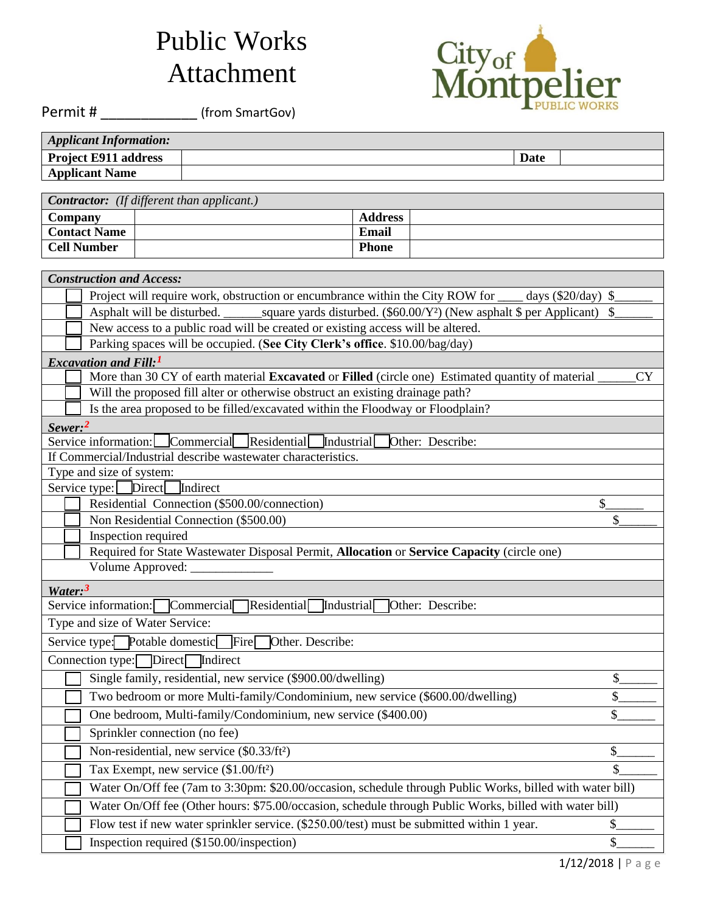## Public Works Attachment



Permit # \_\_\_\_\_\_\_\_\_\_\_\_\_\_\_\_\_\_ (from SmartGov)

| <b>Applicant Information:</b> |      |  |
|-------------------------------|------|--|
| <b>Project E911 address</b>   | Date |  |
| <b>Applicant Name</b>         |      |  |

| <b>Contractor:</b> (If different than applicant.) |  |                |  |  |
|---------------------------------------------------|--|----------------|--|--|
| Company                                           |  | <b>Address</b> |  |  |
| <b>Contact Name</b>                               |  | Email          |  |  |
| <b>Cell Number</b>                                |  | <b>Phone</b>   |  |  |

| <b>Construction and Access:</b>                                                                           |                           |  |  |  |
|-----------------------------------------------------------------------------------------------------------|---------------------------|--|--|--|
| Project will require work, obstruction or encumbrance within the City ROW for<br>days $(\$20/day)$ \,     |                           |  |  |  |
| square yards disturbed. $(\$60.00/Y^2)$ (New asphalt $\$$ per Applicant)<br>Asphalt will be disturbed.    | -S                        |  |  |  |
| New access to a public road will be created or existing access will be altered.                           |                           |  |  |  |
| Parking spaces will be occupied. (See City Clerk's office. \$10.00/bag/day)                               |                           |  |  |  |
| <b>Excavation and Fill:</b> <sup>1</sup>                                                                  |                           |  |  |  |
| More than 30 CY of earth material Excavated or Filled (circle one) Estimated quantity of material         | CY                        |  |  |  |
| Will the proposed fill alter or otherwise obstruct an existing drainage path?                             |                           |  |  |  |
| Is the area proposed to be filled/excavated within the Floodway or Floodplain?                            |                           |  |  |  |
| Sewer: <sup>2</sup>                                                                                       |                           |  |  |  |
| Residential<br>Service information: Commercial<br>Industrial<br>Other: Describe:                          |                           |  |  |  |
| If Commercial/Industrial describe wastewater characteristics.                                             |                           |  |  |  |
| Type and size of system:                                                                                  |                           |  |  |  |
| Indirect<br>Direct<br>Service type:                                                                       |                           |  |  |  |
| Residential Connection (\$500.00/connection)                                                              | \$                        |  |  |  |
| Non Residential Connection (\$500.00)                                                                     | \$                        |  |  |  |
| Inspection required                                                                                       |                           |  |  |  |
| Required for State Wastewater Disposal Permit, Allocation or Service Capacity (circle one)                |                           |  |  |  |
| Volume Approved:                                                                                          |                           |  |  |  |
| Water: <sup>3</sup>                                                                                       |                           |  |  |  |
| Service information: Commercial<br>[Residential<br>Other: Describe:<br>Industrial                         |                           |  |  |  |
| Type and size of Water Service:                                                                           |                           |  |  |  |
| Service type: Potable domestic<br>Fire<br>Other. Describe:                                                |                           |  |  |  |
| Connection type: Direct<br>Indirect                                                                       |                           |  |  |  |
| Single family, residential, new service (\$900.00/dwelling)                                               | \$                        |  |  |  |
| Two bedroom or more Multi-family/Condominium, new service (\$600.00/dwelling)                             | $\boldsymbol{\mathsf{S}}$ |  |  |  |
| One bedroom, Multi-family/Condominium, new service (\$400.00)                                             | \$                        |  |  |  |
| Sprinkler connection (no fee)                                                                             |                           |  |  |  |
| Non-residential, new service (\$0.33/ft <sup>2</sup> )                                                    | \$                        |  |  |  |
| Tax Exempt, new service (\$1.00/ft <sup>2</sup> )                                                         | \$                        |  |  |  |
| Water On/Off fee (7am to 3:30pm: \$20.00/occasion, schedule through Public Works, billed with water bill) |                           |  |  |  |
| Water On/Off fee (Other hours: \$75.00/occasion, schedule through Public Works, billed with water bill)   |                           |  |  |  |
| Flow test if new water sprinkler service. (\$250.00/test) must be submitted within 1 year.                | \$                        |  |  |  |
| Inspection required (\$150.00/inspection)                                                                 | \$                        |  |  |  |
|                                                                                                           |                           |  |  |  |